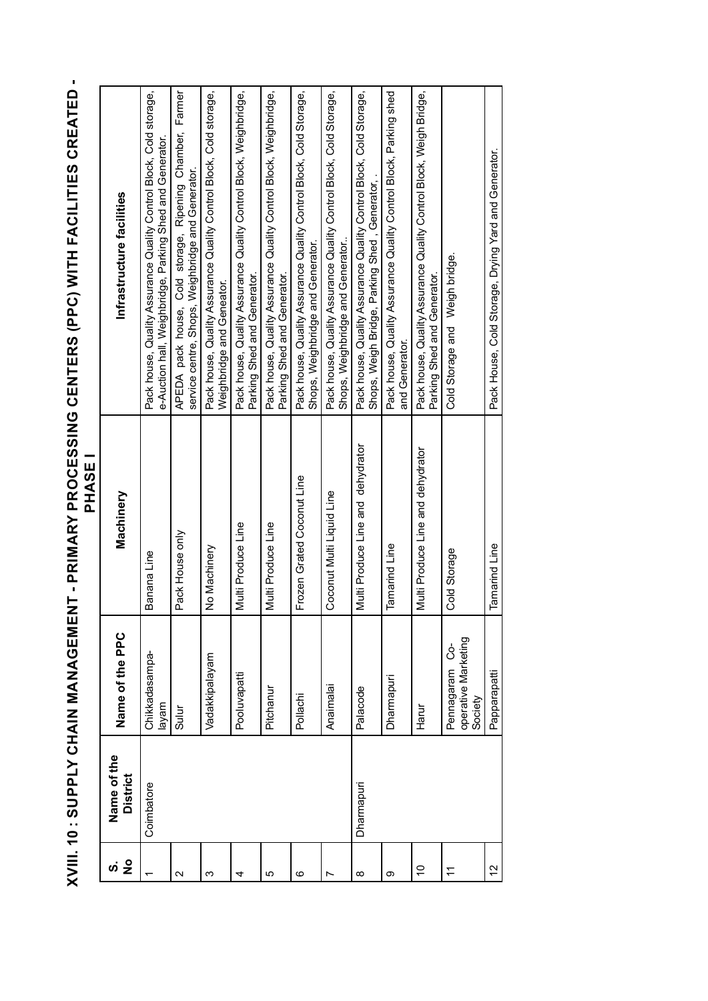XVIII. 10 : SUPPLY CHAIN MANAGEMENT - PRIMARY PROCESSING CENTERS (PPC) WITH FACILITIES CREATED -<br>PHASE I **XVIII. 10 : SUPPLY CHAIN MANAGEMENT - PRIMARY PROCESSING CENTERS (PPC) WITH FACILITIES CREATED - PHASE I** 

| ທ່                | Name of the     |                                                      |                                   |                                                                                                                                |
|-------------------|-----------------|------------------------------------------------------|-----------------------------------|--------------------------------------------------------------------------------------------------------------------------------|
| $\frac{1}{2}$     | <b>District</b> | Name of the PPC                                      | Machinery                         | Infrastructure facilities                                                                                                      |
|                   | Coimbatore      | Chikkadasampa<br>layam                               | Banana Line                       | Pack house, Quality Assurance Quality Control Block, Cold storage,<br>e-Auction hall, Weighbridge, Parking Shed and Generator. |
| $\mathbf{\Omega}$ |                 | Sulur                                                | Pack House only                   | APEDA pack house, Cold storage, Ripening Chamber, Farmer<br>service centre, Shops, Weighbridge and Generator.                  |
| ო                 |                 | Vadakkipalayam                                       | No Machinery                      | Pack house, Quality Assurance Quality Control Block, Cold storage,<br>Weighbridge and Geneator.                                |
| 4                 |                 | Pooluvapatti                                         | Multi Produce Line                | Pack house, Quality Assurance Quality Control Block, Weighbridge,<br>Parking Shed and Generator.                               |
| 5                 |                 | Pitchanur                                            | Multi Produce Line                | Pack house, Quality Assurance Quality Control Block, Weighbridge,<br>Parking Shed and Generator.                               |
| ဖ                 |                 | Pollachi                                             | Frozen Grated Coconut Line        | Pack house, Quality Assurance Quality Control Block, Cold Storage,<br>Shops, Weighbridge and Generator.                        |
| r                 |                 | Anaimalai                                            | Coconut Multi Liquid Line         | Pack house, Quality Assurance Quality Control Block, Cold Storage,<br>Shops, Weighbridge and Generator                         |
| ∞                 | Dharmapuri      | Palacode                                             | Multi Produce Line and dehydrator | Pack house, Quality Assurance Quality Control Block, Cold Storage,<br>Shops, Weigh Bridge, Parking Shed, Generator, .          |
| ග                 |                 | Dharmapuri                                           | <b>Tamarind Line</b>              | Pack house, Quality Assurance Quality Control Block, Parking shed<br>and Generator.                                            |
| $\frac{0}{1}$     |                 | Harur                                                | Multi Produce Line and dehydrator | Pack house, Quality Assurance Quality Control Block, Weigh Bridge,<br>Parking Shed and Generator.                              |
| Ξ                 |                 | operative Marketing<br>ပ္ပံ<br>Pennagaram<br>Society | Cold Storage                      | Weigh bridge.<br>Cold Storage and                                                                                              |
| $\frac{2}{3}$     |                 | Papparapatti                                         | <b>Tamarind Line</b>              | Pack House, Cold Storage, Drying Yard and Generator.                                                                           |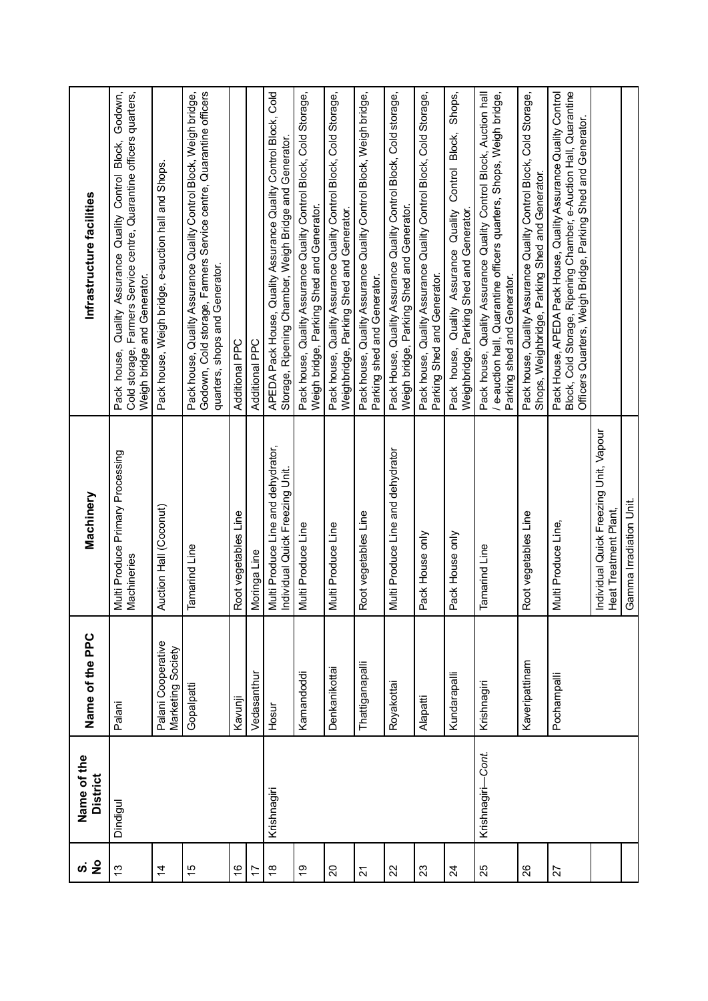|                         | Name of the<br><b>District</b> | Name of the PPC                         | Machinery                                                             | Infrastructure facilities                                                                                                                                                                            |
|-------------------------|--------------------------------|-----------------------------------------|-----------------------------------------------------------------------|------------------------------------------------------------------------------------------------------------------------------------------------------------------------------------------------------|
| $\frac{3}{2}$           | Dindigul                       | Palani                                  | Multi Produce Primary Processing<br>Machineries                       | Godown,<br>Cold storage, Farmers Service centre, Quarantine officers quarters,<br>Quality Assurance Quality Control Block,<br>Weigh bridge and Generator.<br>Pack house,                             |
| $\overline{4}$          |                                | Palani Cooperative<br>Marketing Society | Auction Hall (Coconut)                                                | Pack house, Weigh bridge, e-auction hall and Shops.                                                                                                                                                  |
| 15                      |                                | Gopalpatti                              | Tamarind Line                                                         | Godown, Cold storage, Farmers Service centre, Quarantine officers<br>Pack house, Quality Assurance Quality Control Block, Weigh bridge,<br>quarters, shops and Generator.                            |
| $\frac{6}{5}$           |                                | Kavunji                                 | Root vegetables Line                                                  | Additional PPC                                                                                                                                                                                       |
| $\overline{1}$          |                                | Vedasanthur                             | Moringa Line                                                          | Additional PPC                                                                                                                                                                                       |
| $\frac{\infty}{\infty}$ | Krishnagiri                    | Hosur                                   | Multi Produce Line and dehydrator,<br>Individual Quick Freezing Unit. | APEDA Pack House, Quality Assurance Quality Control Block, Cold<br>Storage, Ripening Chamber, Weigh Bridge and Generator.                                                                            |
| $\frac{6}{5}$           |                                | Kamandoddi                              | Multi Produce Line                                                    | Pack house, Quality Assurance Quality Control Block, Cold Storage,<br>Weigh bridge, Parking Shed and Generator.                                                                                      |
| $\overline{c}$          |                                | Denkanikottai                           | Multi Produce Line                                                    | Pack house, Quality Assurance Quality Control Block, Cold Storage,<br>Weighbridge, Parking Shed and Generator.                                                                                       |
| $\overline{2}$          |                                | Thattiganapalli                         | Root vegetables Line                                                  | Pack house, Quality Assurance Quality Control Block, Weigh bridge,<br>Parking shed and Generator.                                                                                                    |
| 22                      |                                | Royakottai                              | Multi Produce Line and dehydrator                                     | Pack House, Quality Assurance Quality Control Block, Cold storage,<br>Weigh bridge, Parking Shed and Generator.                                                                                      |
| 23                      |                                | Alapatti                                | Pack House only                                                       | Pack house, Quality Assurance Quality Control Block, Cold Storage,<br>Parking Shed and Generator.                                                                                                    |
| $\overline{2}$          |                                | Kundarapalli                            | Pack House only                                                       | Shops,<br>Control Block,<br>Pack house, Quality Assurance Quality<br>Weighbridge, Parking Shed and Generator.                                                                                        |
| 25                      | Krishnagiri-Cont.              | Krishnagiri                             | <b>Tamarind Line</b>                                                  | Pack house, Quality Assurance Quality Control Block, Auction hall<br>/ e-auction hall, Quarantine officers quarters, Shops, Weigh bridge,<br>Parking shed and Generator.                             |
| 26                      |                                | Kaveripattinam                          | Root vegetables Line                                                  | Pack house, Quality Assurance Quality Control Block, Cold Storage,<br>Shops, Weighbridge, Parking Shed and Generator.                                                                                |
| 27                      |                                | Pochampalli                             | Multi Produce Line,                                                   | Block, Cold Storage, Ripening Chamber, e-Auction Hall, Quarantine<br>Pack House, APEDA Pack House, Quality Assurance Quality Control<br>Officers Quarters, Weigh Bridge, Parking Shed and Generator. |
|                         |                                |                                         | Individual Quick Freezing Unit, Vapour<br>Heat Treatment Plant,       |                                                                                                                                                                                                      |
|                         |                                |                                         | Gamma Irradiation Unit.                                               |                                                                                                                                                                                                      |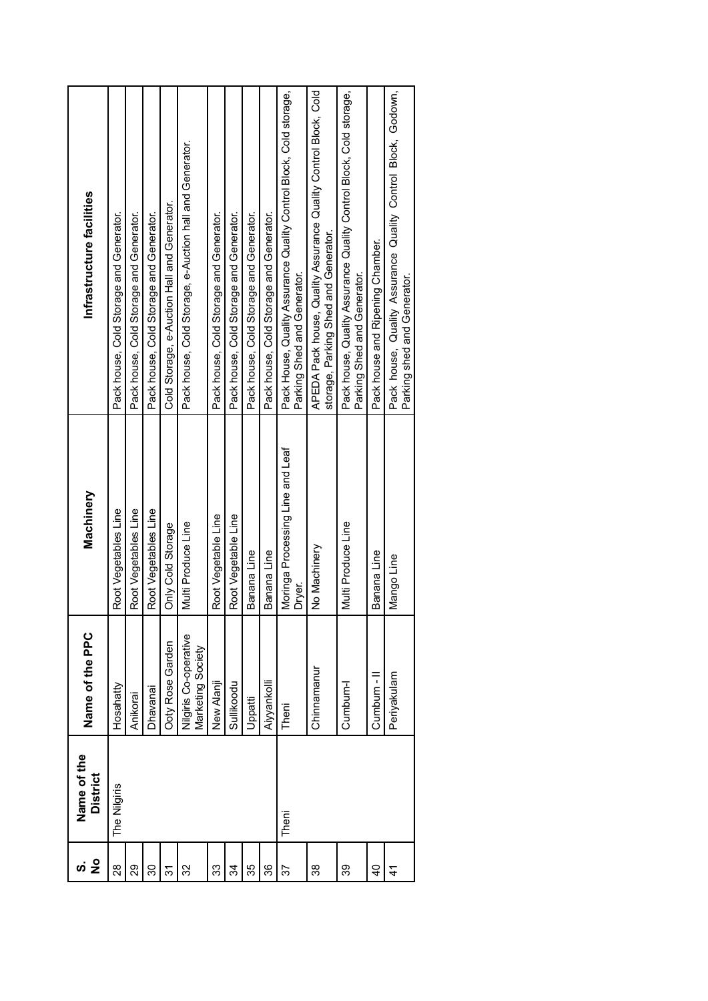| <u>က်</u>      | Name of the     |                                             |                                            |                                                                                                         |
|----------------|-----------------|---------------------------------------------|--------------------------------------------|---------------------------------------------------------------------------------------------------------|
| $\frac{1}{2}$  | <b>District</b> | Name of the PPC                             | Machinery                                  | Infrastructure facilities                                                                               |
| 28             | The Nilgiris    | Hosahatty                                   | Root Vegetables Line                       | Pack house, Cold Storage and Generator.                                                                 |
| 29             |                 | Anikorai                                    | Root Vegetables Line                       | Pack house, Cold Storage and Generator.                                                                 |
| న్             |                 | Dhavanai                                    | Root Vegetables Line                       | Pack house, Cold Storage and Generator.                                                                 |
| रू<br>ल        |                 | <b>Doty Rose Garden</b>                     | Only Cold Storage                          | Cold Storage, e-Auction Hall and Generator.                                                             |
| 32             |                 | Nilgiris Co-operative<br>Vlarketing Society | Multi Produce Line                         | Pack house, Cold Storage, e-Auction hall and Generator.                                                 |
| 33             |                 | New Alanji                                  | Root Vegetable Line                        | Pack house, Cold Storage and Generator.                                                                 |
| ઝુ             |                 | Sullikoodu                                  | Root Vegetable Line                        | Pack house, Cold Storage and Generator.                                                                 |
| 35             |                 | Uppatti                                     | Banana Line                                | Pack house, Cold Storage and Generator.                                                                 |
| 36             |                 | Aiyyankolli                                 | Banana Line                                | Pack house, Cold Storage and Generator.                                                                 |
| 22             | Theni           | Theni                                       | Moringa Processing Line and Leaf<br>Dryer. | Pack House, Quality Assurance Quality Control Block, Cold storage,<br>Parking Shed and Generator.       |
| 38             |                 | Chinnamanur                                 | No Machinery                               | APEDA Pack house, Quality Assurance Quality Control Block, Cold<br>storage, Parking Shed and Generator. |
| 39             |                 | Cumbum-l                                    | Multi Produce Line                         | Pack house, Quality Assurance Quality Control Block, Cold storage,<br>Parking Shed and Generator.       |
| $\overline{4}$ |                 | Cumbum - II                                 | Banana Line                                | Pack house and Ripening Chamber.                                                                        |
| 4              |                 | Periyakulam                                 | Mango Line                                 | Pack house, Quality Assurance Quality Control Block, Godown,<br>Parking shed and Generator.             |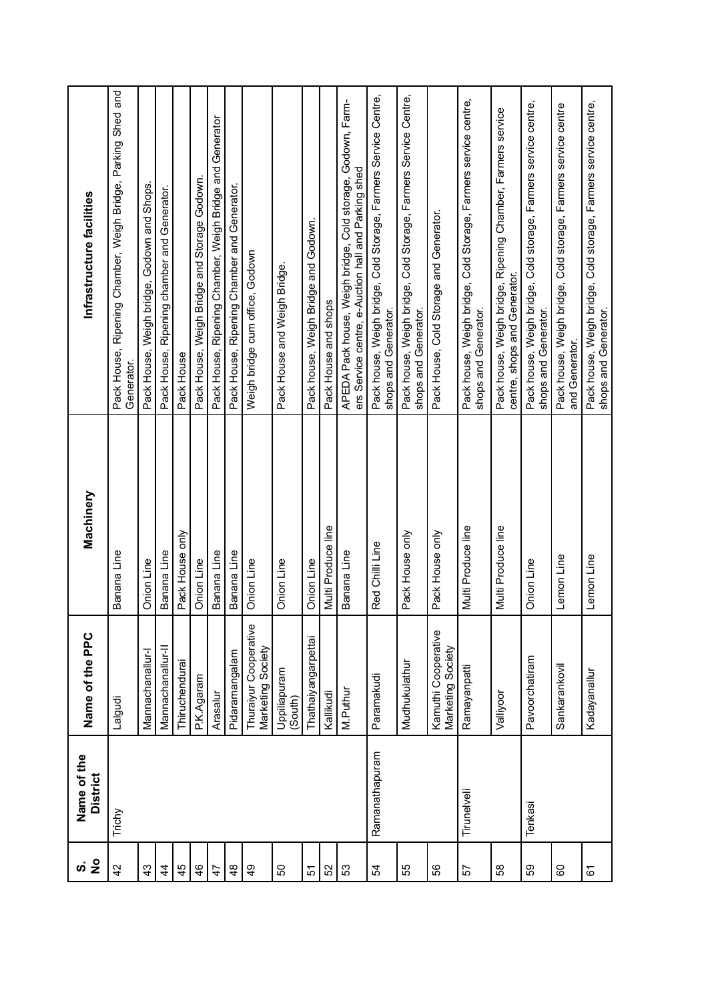|               | Name of the<br><b>District</b> | Name of the PPC                            | Machinery          | Infrastructure facilities                                                                                          |
|---------------|--------------------------------|--------------------------------------------|--------------------|--------------------------------------------------------------------------------------------------------------------|
| 42            | Trichy                         | Lalgudi                                    | Banana Line        | Pack House, Ripening Chamber, Weigh Bridge, Parking Shed and<br>Generator.                                         |
| 43            |                                | Mannachanallur-l                           | Onion Line         | Pack House, Weigh bridge, Godown and Shops.                                                                        |
| 4             |                                | Mannachanallur-II                          | Banana Line        | Pack House, Ripening chamber and Generator.                                                                        |
| 45            |                                | Thiruchendurai                             | Pack House only    | Pack House                                                                                                         |
| 46            |                                | P.K.Agaram                                 | Onion Line         | Pack House, Weigh Bridge and Storage Godown.                                                                       |
| $\ddot{4}$    |                                | Arasalur                                   | Banana Line        | Pack House, Ripening Chamber, Weigh Bridge and Generator                                                           |
| $\frac{8}{3}$ |                                | Pidaramangalam                             | Banana Line        | Pack House, Ripening Chamber and Generator.                                                                        |
| $\frac{6}{7}$ |                                | Thuraiyur Cooperative<br>Marketing Society | Onion Line         | Weigh bridge cum office, Godown                                                                                    |
| 50            |                                | Uppiliapuram<br>(South)                    | Onion Line         | Pack House and Weigh Bridge                                                                                        |
| 5             |                                | <b>Thathaiyangarpettai</b>                 | Onion Line         | Pack house, Weigh Bridge and Godown.                                                                               |
| 52            |                                | Kallikudi                                  | Multi Produce line | Pack House and shops                                                                                               |
| 53            |                                | M.Puthur                                   | Banana Line        | APEDA Pack house, Weigh bridge, Cold storage, Godown, Farm-<br>ers Service centre, e-Auction hall and Parking shed |
| £             | Ramanathapuram                 | Paramakudi                                 | Red Chilli Line    | Pack house, Weigh bridge, Cold Storage, Farmers Service Centre,<br>shops and Generator.                            |
| 55            |                                | Mudhukulathur                              | Pack House only    | Pack house, Weigh bridge, Cold Storage, Farmers Service Centre,<br>shops and Generator.                            |
| SS            |                                | Kamuthi Cooperative<br>Marketing Society   | Pack House only    | Pack House, Cold Storage and Generator.                                                                            |
| 57            | Tirunelveli                    | Ramayanpatti                               | Multi Produce line | Pack house, Weigh bridge, Cold Storage, Farmers service centre,<br>shops and Generator.                            |
| 38            |                                | Valliyoor                                  | Multi Produce line | Pack house, Weigh bridge, Ripening Chamber, Farmers service<br>centre, shops and Generator.                        |
| SS            | Tenkasi                        | Pavoorchatiram                             | Onion Line         | Pack house, Weigh bridge, Cold storage, Farmers service centre,<br>shops and Generator.                            |
| 8             |                                | Sankarankovil                              | Lemon Line         | Pack house, Weigh bridge, Cold storage, Farmers service centre<br>and Generator.                                   |
| 67            |                                | Kadayanallur                               | Lemon Line         | Pack house, Weigh bridge, Cold storage, Farmers service centre,<br>shops and Generator.                            |